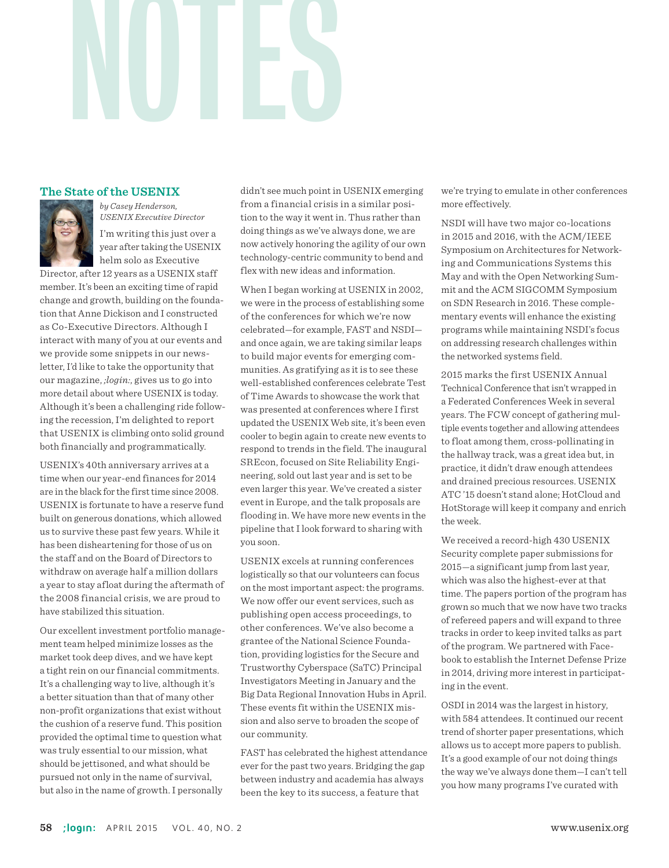## NOTES

## **The State of the USENIX**



*by Casey Henderson, USENIX Executive Director* I'm writing this just over a year after taking the USENIX helm solo as Executive

Director, after 12 years as a USENIX staff member. It's been an exciting time of rapid change and growth, building on the foundation that Anne Dickison and I constructed as Co-Executive Directors. Although I interact with many of you at our events and we provide some snippets in our newsletter, I'd like to take the opportunity that our magazine, *;login:*, gives us to go into more detail about where USENIX is today. Although it's been a challenging ride following the recession, I'm delighted to report that USENIX is climbing onto solid ground both financially and programmatically.

USENIX's 40th anniversary arrives at a time when our year-end finances for 2014 are in the black for the first time since 2008. USENIX is fortunate to have a reserve fund built on generous donations, which allowed us to survive these past few years. While it has been disheartening for those of us on the staff and on the Board of Directors to withdraw on average half a million dollars a year to stay afloat during the aftermath of the 2008 financial crisis, we are proud to have stabilized this situation.

Our excellent investment portfolio management team helped minimize losses as the market took deep dives, and we have kept a tight rein on our financial commitments. It's a challenging way to live, although it's a better situation than that of many other non-profit organizations that exist without the cushion of a reserve fund. This position provided the optimal time to question what was truly essential to our mission, what should be jettisoned, and what should be pursued not only in the name of survival, but also in the name of growth. I personally

didn't see much point in USENIX emerging from a financial crisis in a similar position to the way it went in. Thus rather than doing things as we've always done, we are now actively honoring the agility of our own technology-centric community to bend and flex with new ideas and information.

When I began working at USENIX in 2002, we were in the process of establishing some of the conferences for which we're now celebrated—for example, FAST and NSDI and once again, we are taking similar leaps to build major events for emerging communities. As gratifying as it is to see these well-established conferences celebrate Test of Time Awards to showcase the work that was presented at conferences where I first updated the USENIX Web site, it's been even cooler to begin again to create new events to respond to trends in the field. The inaugural SREcon, focused on Site Reliability Engineering, sold out last year and is set to be even larger this year. We've created a sister event in Europe, and the talk proposals are flooding in. We have more new events in the pipeline that I look forward to sharing with you soon.

USENIX excels at running conferences logistically so that our volunteers can focus on the most important aspect: the programs. We now offer our event services, such as publishing open access proceedings, to other conferences. We've also become a grantee of the National Science Foundation, providing logistics for the Secure and Trustworthy Cyberspace (SaTC) Principal Investigators Meeting in January and the Big Data Regional Innovation Hubs in April. These events fit within the USENIX mission and also serve to broaden the scope of our community.

FAST has celebrated the highest attendance ever for the past two years. Bridging the gap between industry and academia has always been the key to its success, a feature that

we're trying to emulate in other conferences more effectively.

NSDI will have two major co-locations in 2015 and 2016, with the ACM/IEEE Symposium on Architectures for Networking and Communications Systems this May and with the Open Networking Summit and the ACM SIGCOMM Symposium on SDN Research in 2016. These complementary events will enhance the existing programs while maintaining NSDI's focus on addressing research challenges within the networked systems field.

2015 marks the first USENIX Annual Technical Conference that isn't wrapped in a Federated Conferences Week in several years. The FCW concept of gathering multiple events together and allowing attendees to float among them, cross-pollinating in the hallway track, was a great idea but, in practice, it didn't draw enough attendees and drained precious resources. USENIX ATC '15 doesn't stand alone; HotCloud and HotStorage will keep it company and enrich the week.

We received a record-high 430 USENIX Security complete paper submissions for 2015—a significant jump from last year, which was also the highest-ever at that time. The papers portion of the program has grown so much that we now have two tracks of refereed papers and will expand to three tracks in order to keep invited talks as part of the program. We partnered with Facebook to establish the Internet Defense Prize in 2014, driving more interest in participating in the event.

OSDI in 2014 was the largest in history, with 584 attendees. It continued our recent trend of shorter paper presentations, which allows us to accept more papers to publish. It's a good example of our not doing things the way we've always done them—I can't tell you how many programs I've curated with